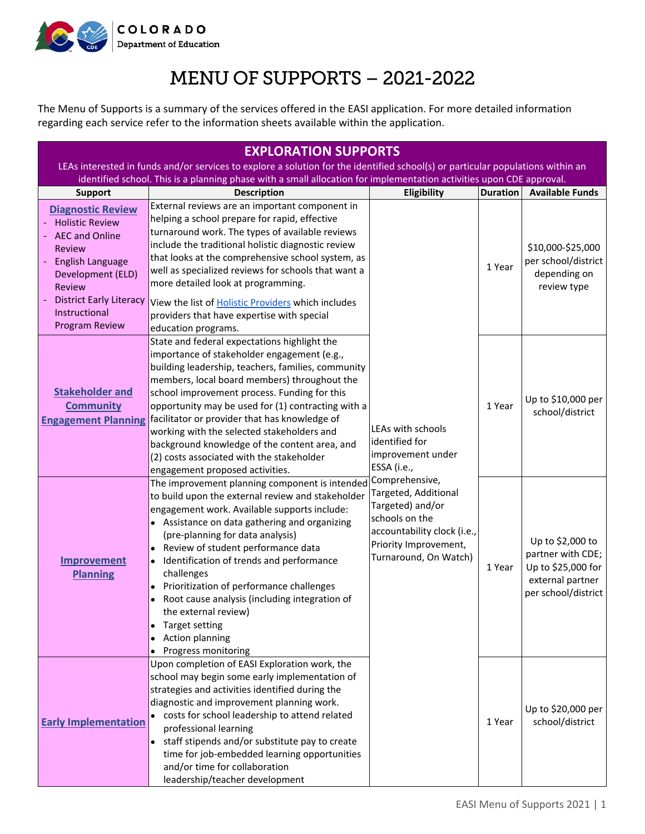

## MENU OF SUPPORTS – 2021-2022

The Menu of Supports is a summary of the services offered in the EASI application. For more detailed information regarding each service refer to the information sheets available within the application.

| <b>EXPLORATION SUPPORTS</b>                                                                                                     |                                                                                                                      |                             |                 |                        |  |
|---------------------------------------------------------------------------------------------------------------------------------|----------------------------------------------------------------------------------------------------------------------|-----------------------------|-----------------|------------------------|--|
| LEAs interested in funds and/or services to explore a solution for the identified school(s) or particular populations within an |                                                                                                                      |                             |                 |                        |  |
|                                                                                                                                 | identified school. This is a planning phase with a small allocation for implementation activities upon CDE approval. |                             |                 |                        |  |
| <b>Support</b>                                                                                                                  | <b>Description</b>                                                                                                   | Eligibility                 | <b>Duration</b> | <b>Available Funds</b> |  |
| <b>Diagnostic Review</b>                                                                                                        | External reviews are an important component in                                                                       |                             |                 |                        |  |
| <b>Holistic Review</b>                                                                                                          | helping a school prepare for rapid, effective                                                                        |                             |                 |                        |  |
| <b>AEC and Online</b>                                                                                                           | turnaround work. The types of available reviews                                                                      |                             |                 |                        |  |
| <b>Review</b>                                                                                                                   | include the traditional holistic diagnostic review                                                                   |                             |                 | \$10,000-\$25,000      |  |
| English Language                                                                                                                | that looks at the comprehensive school system, as                                                                    |                             | 1 Year          | per school/district    |  |
| Development (ELD)                                                                                                               | well as specialized reviews for schools that want a<br>more detailed look at programming.                            |                             |                 | depending on           |  |
| <b>Review</b>                                                                                                                   |                                                                                                                      |                             |                 | review type            |  |
| <b>District Early Literacy</b>                                                                                                  | View the list of Holistic Providers which includes                                                                   |                             |                 |                        |  |
| Instructional                                                                                                                   | providers that have expertise with special                                                                           |                             |                 |                        |  |
| <b>Program Review</b>                                                                                                           | education programs.                                                                                                  |                             |                 |                        |  |
|                                                                                                                                 | State and federal expectations highlight the                                                                         |                             |                 |                        |  |
|                                                                                                                                 | importance of stakeholder engagement (e.g.,                                                                          |                             |                 |                        |  |
|                                                                                                                                 | building leadership, teachers, families, community                                                                   |                             |                 |                        |  |
|                                                                                                                                 | members, local board members) throughout the                                                                         |                             |                 |                        |  |
| <b>Stakeholder and</b>                                                                                                          | school improvement process. Funding for this                                                                         |                             |                 | Up to \$10,000 per     |  |
| <b>Community</b>                                                                                                                | opportunity may be used for (1) contracting with a                                                                   |                             | 1 Year          | school/district        |  |
| <b>Engagement Planning</b>                                                                                                      | facilitator or provider that has knowledge of                                                                        | <b>LEAs with schools</b>    |                 |                        |  |
|                                                                                                                                 | working with the selected stakeholders and                                                                           | identified for              |                 |                        |  |
|                                                                                                                                 | background knowledge of the content area, and                                                                        | improvement under           |                 |                        |  |
|                                                                                                                                 | (2) costs associated with the stakeholder                                                                            | ESSA (i.e.,                 |                 |                        |  |
|                                                                                                                                 | engagement proposed activities.                                                                                      | Comprehensive,              |                 |                        |  |
|                                                                                                                                 | The improvement planning component is intended                                                                       | Targeted, Additional        |                 |                        |  |
|                                                                                                                                 | to build upon the external review and stakeholder<br>engagement work. Available supports include:                    | Targeted) and/or            |                 |                        |  |
|                                                                                                                                 | • Assistance on data gathering and organizing                                                                        | schools on the              |                 |                        |  |
|                                                                                                                                 | (pre-planning for data analysis)                                                                                     | accountability clock (i.e., |                 |                        |  |
|                                                                                                                                 | Review of student performance data                                                                                   | Priority Improvement,       |                 | Up to \$2,000 to       |  |
| <b>Improvement</b>                                                                                                              | Identification of trends and performance<br>$\bullet$                                                                | Turnaround, On Watch)       |                 | partner with CDE;      |  |
| <b>Planning</b>                                                                                                                 | challenges                                                                                                           |                             | 1 Year          | Up to \$25,000 for     |  |
|                                                                                                                                 | Prioritization of performance challenges                                                                             |                             |                 | external partner       |  |
|                                                                                                                                 | Root cause analysis (including integration of                                                                        |                             |                 | per school/district    |  |
|                                                                                                                                 | the external review)                                                                                                 |                             |                 |                        |  |
|                                                                                                                                 | <b>Target setting</b>                                                                                                |                             |                 |                        |  |
|                                                                                                                                 | Action planning                                                                                                      |                             |                 |                        |  |
|                                                                                                                                 | Progress monitoring                                                                                                  |                             |                 |                        |  |
|                                                                                                                                 | Upon completion of EASI Exploration work, the                                                                        |                             |                 |                        |  |
| <b>Early Implementation</b>                                                                                                     | school may begin some early implementation of                                                                        |                             |                 |                        |  |
|                                                                                                                                 | strategies and activities identified during the                                                                      |                             |                 |                        |  |
|                                                                                                                                 | diagnostic and improvement planning work.                                                                            |                             |                 | Up to \$20,000 per     |  |
|                                                                                                                                 | • costs for school leadership to attend related                                                                      |                             | 1 Year          | school/district        |  |
|                                                                                                                                 | professional learning                                                                                                |                             |                 |                        |  |
|                                                                                                                                 | staff stipends and/or substitute pay to create<br>$\bullet$                                                          |                             |                 |                        |  |
|                                                                                                                                 | time for job-embedded learning opportunities                                                                         |                             |                 |                        |  |
|                                                                                                                                 | and/or time for collaboration                                                                                        |                             |                 |                        |  |
|                                                                                                                                 | leadership/teacher development                                                                                       |                             |                 |                        |  |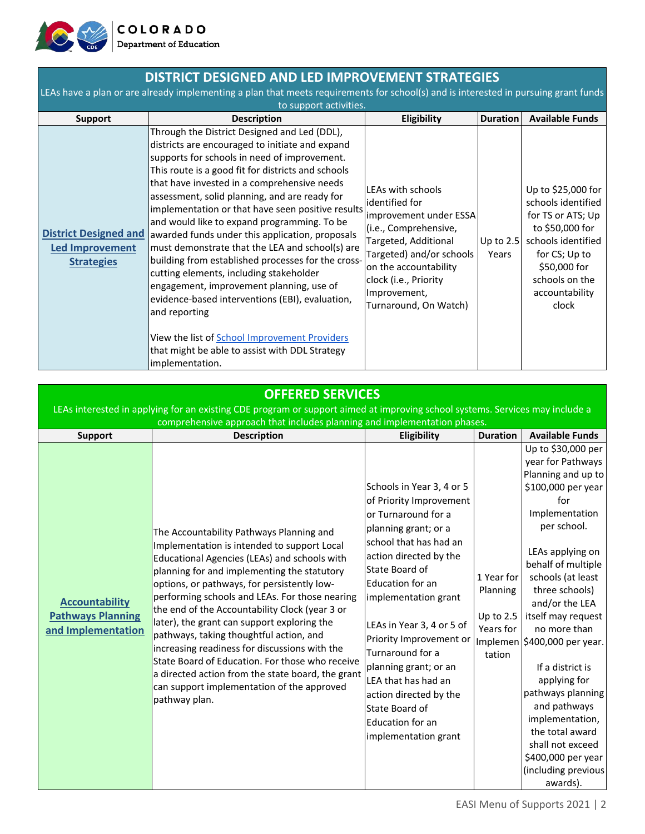

COLORADO<br>Department of Education

| <b>DISTRICT DESIGNED AND LED IMPROVEMENT STRATEGIES</b>                                                                                                       |                                                                                                                                                                                                                                                                                                                                                                                                                                                                                                                                                                                                                                                                                                                                                                                                                                                        |                                                                                                                                                                                                                                       |                      |                                                                                                                                                                                      |  |
|---------------------------------------------------------------------------------------------------------------------------------------------------------------|--------------------------------------------------------------------------------------------------------------------------------------------------------------------------------------------------------------------------------------------------------------------------------------------------------------------------------------------------------------------------------------------------------------------------------------------------------------------------------------------------------------------------------------------------------------------------------------------------------------------------------------------------------------------------------------------------------------------------------------------------------------------------------------------------------------------------------------------------------|---------------------------------------------------------------------------------------------------------------------------------------------------------------------------------------------------------------------------------------|----------------------|--------------------------------------------------------------------------------------------------------------------------------------------------------------------------------------|--|
| LEAs have a plan or are already implementing a plan that meets requirements for school(s) and is interested in pursuing grant funds<br>to support activities. |                                                                                                                                                                                                                                                                                                                                                                                                                                                                                                                                                                                                                                                                                                                                                                                                                                                        |                                                                                                                                                                                                                                       |                      |                                                                                                                                                                                      |  |
| <b>Support</b>                                                                                                                                                | <b>Description</b>                                                                                                                                                                                                                                                                                                                                                                                                                                                                                                                                                                                                                                                                                                                                                                                                                                     | Eligibility                                                                                                                                                                                                                           | Duration             | <b>Available Funds</b>                                                                                                                                                               |  |
| <b>District Designed and</b><br><b>Led Improvement</b><br><b>Strategies</b>                                                                                   | Through the District Designed and Led (DDL),<br>districts are encouraged to initiate and expand<br>supports for schools in need of improvement.<br>This route is a good fit for districts and schools<br>that have invested in a comprehensive needs<br>assessment, solid planning, and are ready for<br>implementation or that have seen positive results<br>and would like to expand programming. To be<br>awarded funds under this application, proposals<br>must demonstrate that the LEA and school(s) are<br>building from established processes for the cross-<br>cutting elements, including stakeholder<br>engagement, improvement planning, use of<br>evidence-based interventions (EBI), evaluation,<br>and reporting<br>View the list of School Improvement Providers<br>that might be able to assist with DDL Strategy<br>implementation. | LEAs with schools<br>identified for<br>improvement under ESSA<br>(i.e., Comprehensive,<br>Targeted, Additional<br>Targeted) and/or schools<br>on the accountability<br>clock (i.e., Priority<br>Improvement,<br>Turnaround, On Watch) | Up to $2.5$<br>Years | Up to \$25,000 for<br>schools identified<br>for TS or ATS; Up<br>to \$50,000 for<br>schools identified<br>for CS; Up to<br>\$50,000 for<br>schools on the<br>accountability<br>clock |  |

|  |  | <b>OFFERED SERVICES</b> |
|--|--|-------------------------|
|  |  |                         |

LEAs interested in applying for an existing CDE program or support aimed at improving school systems. Services may include a

| comprehensive approach that includes planning and implementation phases. |                                                                                                                                                                                                                                                                                                                                                                                                                                                                                                                                                                                                                                                             |                                                                                                                                                                                                                                                                                                                                                                                                                                           |                                                              |                                                                                                                                                                                                                                                                                                                                                                                                                                                                                                  |  |
|--------------------------------------------------------------------------|-------------------------------------------------------------------------------------------------------------------------------------------------------------------------------------------------------------------------------------------------------------------------------------------------------------------------------------------------------------------------------------------------------------------------------------------------------------------------------------------------------------------------------------------------------------------------------------------------------------------------------------------------------------|-------------------------------------------------------------------------------------------------------------------------------------------------------------------------------------------------------------------------------------------------------------------------------------------------------------------------------------------------------------------------------------------------------------------------------------------|--------------------------------------------------------------|--------------------------------------------------------------------------------------------------------------------------------------------------------------------------------------------------------------------------------------------------------------------------------------------------------------------------------------------------------------------------------------------------------------------------------------------------------------------------------------------------|--|
| <b>Support</b>                                                           | <b>Description</b>                                                                                                                                                                                                                                                                                                                                                                                                                                                                                                                                                                                                                                          | Eligibility                                                                                                                                                                                                                                                                                                                                                                                                                               | <b>Duration</b>                                              | <b>Available Funds</b>                                                                                                                                                                                                                                                                                                                                                                                                                                                                           |  |
| <b>Accountability</b><br><b>Pathways Planning</b><br>and Implementation  | The Accountability Pathways Planning and<br>Implementation is intended to support Local<br>Educational Agencies (LEAs) and schools with<br>planning for and implementing the statutory<br>options, or pathways, for persistently low-<br>performing schools and LEAs. For those nearing<br>the end of the Accountability Clock (year 3 or<br>later), the grant can support exploring the<br>pathways, taking thoughtful action, and<br>increasing readiness for discussions with the<br>State Board of Education. For those who receive<br>a directed action from the state board, the grant<br>can support implementation of the approved<br>pathway plan. | Schools in Year 3, 4 or 5<br>of Priority Improvement<br>or Turnaround for a<br>planning grant; or a<br>school that has had an<br>action directed by the<br>State Board of<br>Education for an<br>implementation grant<br>LEAs in Year 3, 4 or 5 of<br>Priority Improvement or<br>Turnaround for a<br>planning grant; or an<br>LEA that has had an<br>action directed by the<br>State Board of<br>Education for an<br>implementation grant | 1 Year for<br>Planning<br>Up to $2.5$<br>Years for<br>tation | Up to \$30,000 per<br>year for Pathways<br>Planning and up to<br>\$100,000 per year<br>for<br>Implementation<br>per school.<br>LEAs applying on<br>behalf of multiple<br>schools (at least<br>three schools)<br>and/or the LEA<br>itself may request<br>no more than<br>Implemen \$400,000 per year.<br>If a district is<br>applying for<br>pathways planning<br>and pathways<br>implementation,<br>the total award<br>shall not exceed<br>\$400,000 per year<br>(including previous<br>awards). |  |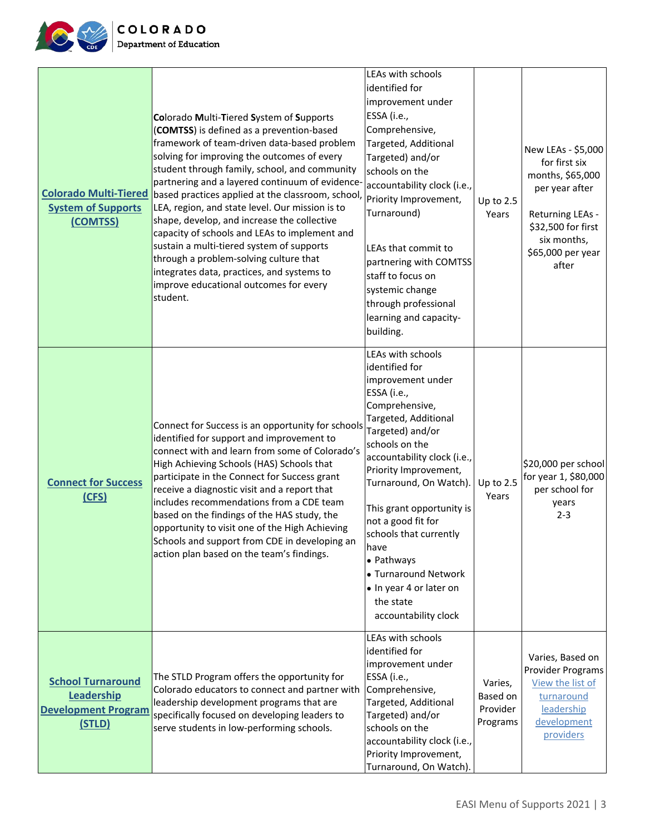

| <b>Colorado Multi-Tiered</b><br><b>System of Supports</b><br>(COMTSS)          | Colorado Multi-Tiered System of Supports<br>(COMTSS) is defined as a prevention-based<br>framework of team-driven data-based problem<br>solving for improving the outcomes of every<br>student through family, school, and community<br>partnering and a layered continuum of evidence-<br>based practices applied at the classroom, school, Priority Improvement,<br>LEA, region, and state level. Our mission is to<br>shape, develop, and increase the collective<br>capacity of schools and LEAs to implement and<br>sustain a multi-tiered system of supports<br>through a problem-solving culture that<br>integrates data, practices, and systems to<br>improve educational outcomes for every<br>student. | LEAs with schools<br>identified for<br>improvement under<br>ESSA (i.e.,<br>Comprehensive,<br>Targeted, Additional<br>Targeted) and/or<br>schools on the<br>accountability clock (i.e.,<br>Turnaround)<br>LEAs that commit to<br>partnering with COMTSS<br>staff to focus on<br>systemic change<br>through professional<br>learning and capacity-<br>building.                                                                        | Up to $2.5$<br>Years                        | New LEAs - \$5,000<br>for first six<br>months, \$65,000<br>per year after<br>Returning LEAs -<br>\$32,500 for first<br>six months,<br>\$65,000 per year<br>after |
|--------------------------------------------------------------------------------|------------------------------------------------------------------------------------------------------------------------------------------------------------------------------------------------------------------------------------------------------------------------------------------------------------------------------------------------------------------------------------------------------------------------------------------------------------------------------------------------------------------------------------------------------------------------------------------------------------------------------------------------------------------------------------------------------------------|--------------------------------------------------------------------------------------------------------------------------------------------------------------------------------------------------------------------------------------------------------------------------------------------------------------------------------------------------------------------------------------------------------------------------------------|---------------------------------------------|------------------------------------------------------------------------------------------------------------------------------------------------------------------|
| <b>Connect for Success</b><br>(CFS)                                            | Connect for Success is an opportunity for schools<br>identified for support and improvement to<br>connect with and learn from some of Colorado's<br>High Achieving Schools (HAS) Schools that<br>participate in the Connect for Success grant<br>receive a diagnostic visit and a report that<br>includes recommendations from a CDE team<br>based on the findings of the HAS study, the<br>opportunity to visit one of the High Achieving<br>Schools and support from CDE in developing an<br>action plan based on the team's findings.                                                                                                                                                                         | LEAs with schools<br>identified for<br>improvement under<br>ESSA (i.e.,<br>Comprehensive,<br>Targeted, Additional<br>Targeted) and/or<br>schools on the<br>accountability clock (i.e.,<br>Priority Improvement,<br>Turnaround, On Watch).<br>This grant opportunity is<br>not a good fit for<br>schools that currently<br>have<br>• Pathways<br>• Turnaround Network<br>• In year 4 or later on<br>the state<br>accountability clock | Up to 2.5<br>Years                          | \$20,000 per school<br>for year 1, \$80,000<br>per school for<br>years<br>$2 - 3$                                                                                |
| <b>School Turnaround</b><br>Leadership<br><b>Development Program</b><br>(STLD) | The STLD Program offers the opportunity for<br>Colorado educators to connect and partner with<br>leadership development programs that are<br>specifically focused on developing leaders to<br>serve students in low-performing schools.                                                                                                                                                                                                                                                                                                                                                                                                                                                                          | LEAs with schools<br>identified for<br>improvement under<br>ESSA (i.e.,<br>Comprehensive,<br>Targeted, Additional<br>Targeted) and/or<br>schools on the<br>accountability clock (i.e.,<br>Priority Improvement,<br>Turnaround, On Watch).                                                                                                                                                                                            | Varies,<br>Based on<br>Provider<br>Programs | Varies, Based on<br>Provider Programs<br>View the list of<br>turnaround<br>leadership<br>development<br>providers                                                |